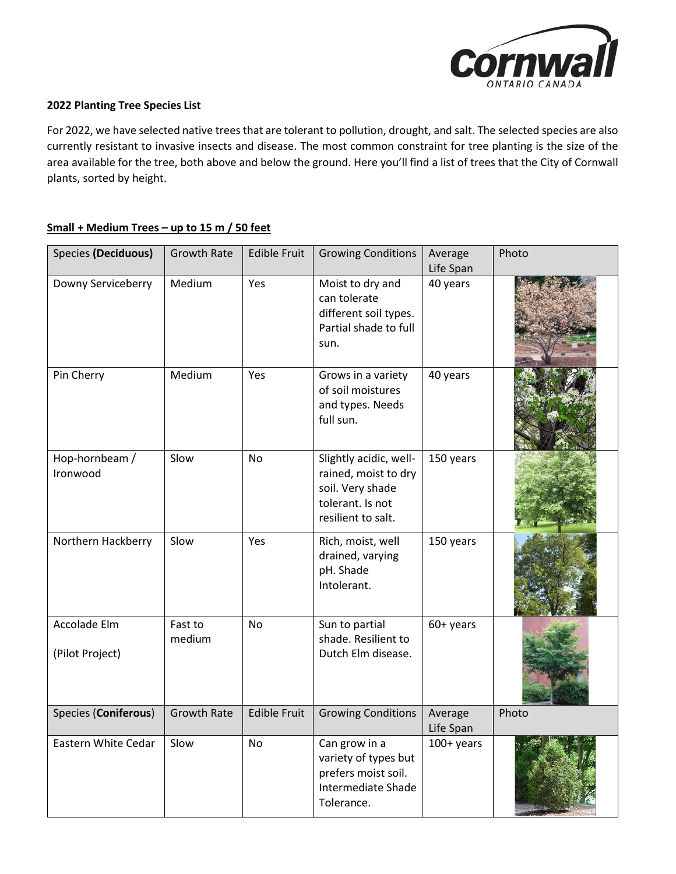

## **2022 Planting Tree Species List**

For 2022, we have selected native trees that are tolerant to pollution, drought, and salt. The selected species are also currently resistant to invasive insects and disease. The most common constraint for tree planting is the size of the area available for the tree, both above and below the ground. Here you'll find a list of trees that the City of Cornwall plants, sorted by height.

## **Small + Medium Trees – up to 15 m / 50 feet**

| <b>Species (Deciduous)</b>      | <b>Growth Rate</b> | <b>Edible Fruit</b> | <b>Growing Conditions</b>                                                                                    | Average<br>Life Span | Photo |
|---------------------------------|--------------------|---------------------|--------------------------------------------------------------------------------------------------------------|----------------------|-------|
| Downy Serviceberry              | Medium             | Yes                 | Moist to dry and<br>can tolerate<br>different soil types.<br>Partial shade to full<br>sun.                   | 40 years             |       |
| Pin Cherry                      | Medium             | Yes                 | Grows in a variety<br>of soil moistures<br>and types. Needs<br>full sun.                                     | 40 years             |       |
| Hop-hornbeam /<br>Ironwood      | Slow               | <b>No</b>           | Slightly acidic, well-<br>rained, moist to dry<br>soil. Very shade<br>tolerant. Is not<br>resilient to salt. | 150 years            |       |
| Northern Hackberry              | Slow               | Yes                 | Rich, moist, well<br>drained, varying<br>pH. Shade<br>Intolerant.                                            | 150 years            |       |
| Accolade Elm<br>(Pilot Project) | Fast to<br>medium  | <b>No</b>           | Sun to partial<br>shade. Resilient to<br>Dutch Elm disease.                                                  | 60+ years            |       |
| Species (Coniferous)            | <b>Growth Rate</b> | <b>Edible Fruit</b> | <b>Growing Conditions</b>                                                                                    | Average<br>Life Span | Photo |
| Eastern White Cedar             | Slow               | <b>No</b>           | Can grow in a<br>variety of types but<br>prefers moist soil.<br>Intermediate Shade<br>Tolerance.             | 100+ years           |       |